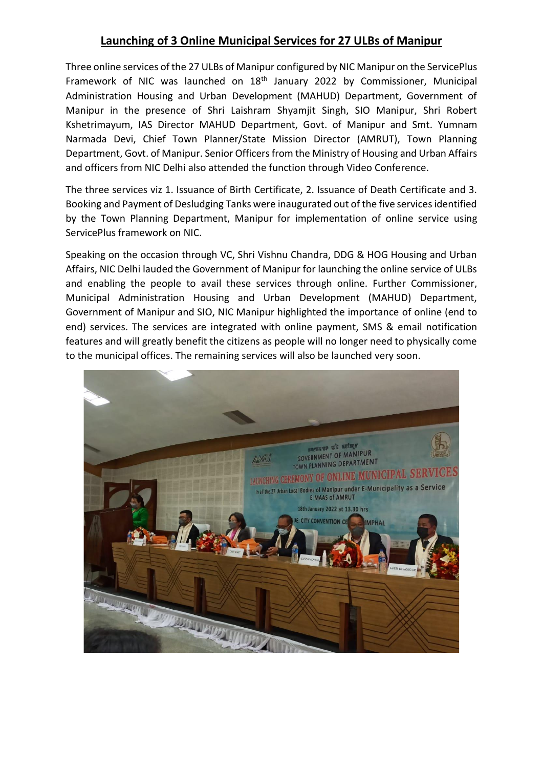## **Launching of 3 Online Municipal Services for 27 ULBs of Manipur**

Three online services of the 27 ULBs of Manipur configured by NIC Manipur on the ServicePlus Framework of NIC was launched on 18<sup>th</sup> January 2022 by Commissioner, Municipal Administration Housing and Urban Development (MAHUD) Department, Government of Manipur in the presence of Shri Laishram Shyamjit Singh, SIO Manipur, Shri Robert Kshetrimayum, IAS Director MAHUD Department, Govt. of Manipur and Smt. Yumnam Narmada Devi, Chief Town Planner/State Mission Director (AMRUT), Town Planning Department, Govt. of Manipur. Senior Officers from the Ministry of Housing and Urban Affairs and officers from NIC Delhi also attended the function through Video Conference.

The three services viz 1. Issuance of Birth Certificate, 2. Issuance of Death Certificate and 3. Booking and Payment of Desludging Tanks were inaugurated out of the five services identified by the Town Planning Department, Manipur for implementation of online service using ServicePlus framework on NIC.

Speaking on the occasion through VC, Shri Vishnu Chandra, DDG & HOG Housing and Urban Affairs, NIC Delhi lauded the Government of Manipur for launching the online service of ULBs and enabling the people to avail these services through online. Further Commissioner, Municipal Administration Housing and Urban Development (MAHUD) Department, Government of Manipur and SIO, NIC Manipur highlighted the importance of online (end to end) services. The services are integrated with online payment, SMS & email notification features and will greatly benefit the citizens as people will no longer need to physically come to the municipal offices. The remaining services will also be launched very soon.